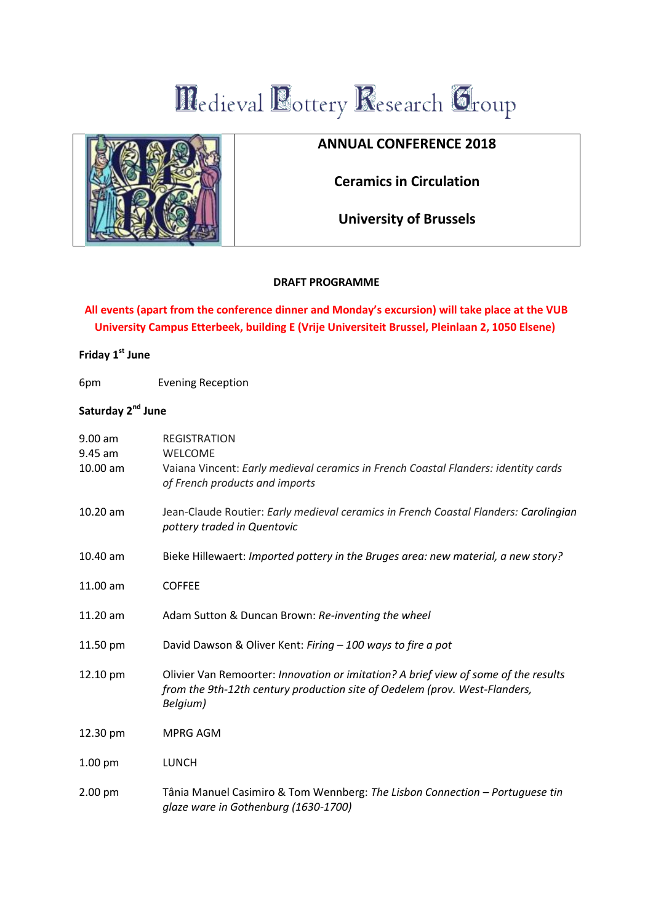# Medieval Bottery Research Group

## **ANNUAL CONFERENCE 2018**

**Ceramics in Circulation**

**University of Brussels**

### **DRAFT PROGRAMME**

## **All events (apart from the conference dinner and Monday's excursion) will take place at the VUB University Campus Etterbeek, building E (Vrije Universiteit Brussel, Pleinlaan 2, 1050 Elsene)**

# **Friday 1st June**

6pm Evening Reception

## **Saturday 2nd June**

| $9.00$ am<br>9.45 am<br>10.00 am | <b>REGISTRATION</b><br><b>WELCOME</b><br>Vaiana Vincent: Early medieval ceramics in French Coastal Flanders: identity cards<br>of French products and imports                 |
|----------------------------------|-------------------------------------------------------------------------------------------------------------------------------------------------------------------------------|
| $10.20$ am                       | Jean-Claude Routier: Early medieval ceramics in French Coastal Flanders: Carolingian<br>pottery traded in Quentovic                                                           |
| 10.40 am                         | Bieke Hillewaert: Imported pottery in the Bruges area: new material, a new story?                                                                                             |
| 11.00 am                         | <b>COFFEE</b>                                                                                                                                                                 |
| 11.20 am                         | Adam Sutton & Duncan Brown: Re-inventing the wheel                                                                                                                            |
| 11.50 pm                         | David Dawson & Oliver Kent: Firing - 100 ways to fire a pot                                                                                                                   |
| 12.10 pm                         | Olivier Van Remoorter: Innovation or imitation? A brief view of some of the results<br>from the 9th-12th century production site of Oedelem (prov. West-Flanders,<br>Belgium) |
| 12.30 pm                         | <b>MPRG AGM</b>                                                                                                                                                               |
| $1.00$ pm                        | <b>LUNCH</b>                                                                                                                                                                  |
| $2.00$ pm                        | Tânia Manuel Casimiro & Tom Wennberg: The Lisbon Connection - Portuguese tin<br>glaze ware in Gothenburg (1630-1700)                                                          |

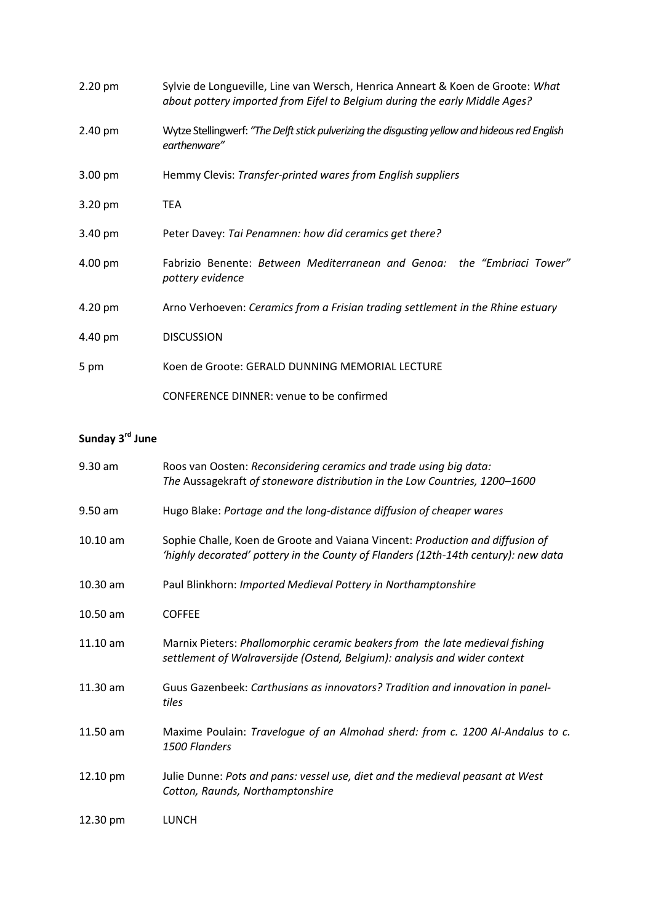| $2.20$ pm         | Sylvie de Longueville, Line van Wersch, Henrica Anneart & Koen de Groote: What<br>about pottery imported from Eifel to Belgium during the early Middle Ages? |
|-------------------|--------------------------------------------------------------------------------------------------------------------------------------------------------------|
| 2.40 pm           | Wytze Stellingwerf: "The Delft stick pulverizing the disgusting yellow and hideous red English<br>earthenware"                                               |
| $3.00 \text{ pm}$ | Hemmy Clevis: Transfer-printed wares from English suppliers                                                                                                  |
| 3.20 pm           | <b>TEA</b>                                                                                                                                                   |
| 3.40 pm           | Peter Davey: Tai Penamnen: how did ceramics get there?                                                                                                       |
| 4.00 pm           | Fabrizio Benente: Between Mediterranean and Genoa: the "Embriaci Tower"<br>pottery evidence                                                                  |
| 4.20 pm           | Arno Verhoeven: Ceramics from a Frisian trading settlement in the Rhine estuary                                                                              |
| 4.40 pm           | <b>DISCUSSION</b>                                                                                                                                            |
| 5 pm              | Koen de Groote: GERALD DUNNING MEMORIAL LECTURE                                                                                                              |
|                   | <b>CONFERENCE DINNER: venue to be confirmed</b>                                                                                                              |

# **Sunday 3rd June**

| $9.30$ am | Roos van Oosten: Reconsidering ceramics and trade using big data:<br>The Aussagekraft of stoneware distribution in the Low Countries, 1200-1600                     |
|-----------|---------------------------------------------------------------------------------------------------------------------------------------------------------------------|
| $9.50$ am | Hugo Blake: Portage and the long-distance diffusion of cheaper wares                                                                                                |
| 10.10 am  | Sophie Challe, Koen de Groote and Vaiana Vincent: Production and diffusion of<br>'highly decorated' pottery in the County of Flanders (12th-14th century): new data |
| 10.30 am  | Paul Blinkhorn: Imported Medieval Pottery in Northamptonshire                                                                                                       |
| 10.50 am  | <b>COFFEE</b>                                                                                                                                                       |
| 11.10 am  | Marnix Pieters: Phallomorphic ceramic beakers from the late medieval fishing<br>settlement of Walraversijde (Ostend, Belgium): analysis and wider context           |
| 11.30 am  | Guus Gazenbeek: Carthusians as innovators? Tradition and innovation in panel-<br>tiles                                                                              |
| 11.50 am  | Maxime Poulain: Travelogue of an Almohad sherd: from c. 1200 Al-Andalus to c.<br>1500 Flanders                                                                      |
| 12.10 pm  | Julie Dunne: Pots and pans: vessel use, diet and the medieval peasant at West<br>Cotton, Raunds, Northamptonshire                                                   |
| 12.30 pm  | <b>LUNCH</b>                                                                                                                                                        |